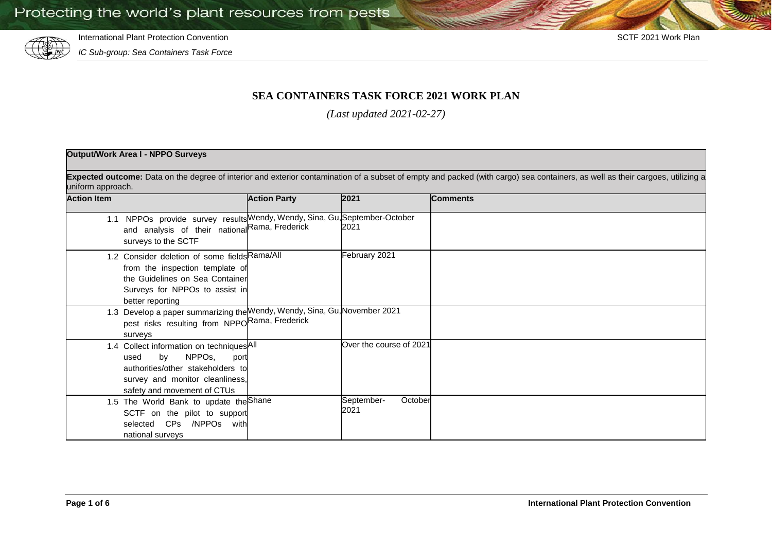

International Plant Protection Convention SCTF 2021 Work Plan

*IC Sub-group: Sea Containers Task Force*

## **SEA CONTAINERS TASK FORCE 2021 WORK PLAN**

*(Last updated 2021-02-27)*

## **Output/Work Area I - NPPO Surveys**

Expected outcome: Data on the degree of interior and exterior contamination of a subset of empty and packed (with cargo) sea containers, as well as their cargoes, utilizing a uniform approach.

| <b>Action Item</b> |                                                                                                                                                                                          | <b>Action Party</b> | 2021                          | <b>Comments</b> |
|--------------------|------------------------------------------------------------------------------------------------------------------------------------------------------------------------------------------|---------------------|-------------------------------|-----------------|
|                    | 1.1 NPPOs provide survey results Wendy, Wendy, Sina, Gu, September-October<br>and analysis of their national Rama, Frederick<br>surveys to the SCTF                                      |                     | 2021                          |                 |
|                    | 1.2 Consider deletion of some fields Rama/All<br>from the inspection template of<br>the Guidelines on Sea Container<br>Surveys for NPPOs to assist in<br>better reporting                |                     | February 2021                 |                 |
|                    | 1.3 Develop a paper summarizing the Wendy, Wendy, Sina, Gu, November 2021<br>pest risks resulting from NPPORama, Frederick<br>surveys                                                    |                     |                               |                 |
|                    | 1.4 Collect information on techniques <sup>All</sup><br>by NPPOs,<br>used<br>port<br>authorities/other stakeholders to<br>survey and monitor cleanliness,<br>safety and movement of CTUs |                     | Over the course of 2021       |                 |
|                    | 1.5 The World Bank to update the Shane<br>SCTF on the pilot to support<br>selected CPs /NPPOs with<br>national surveys                                                                   |                     | October<br>September-<br>2021 |                 |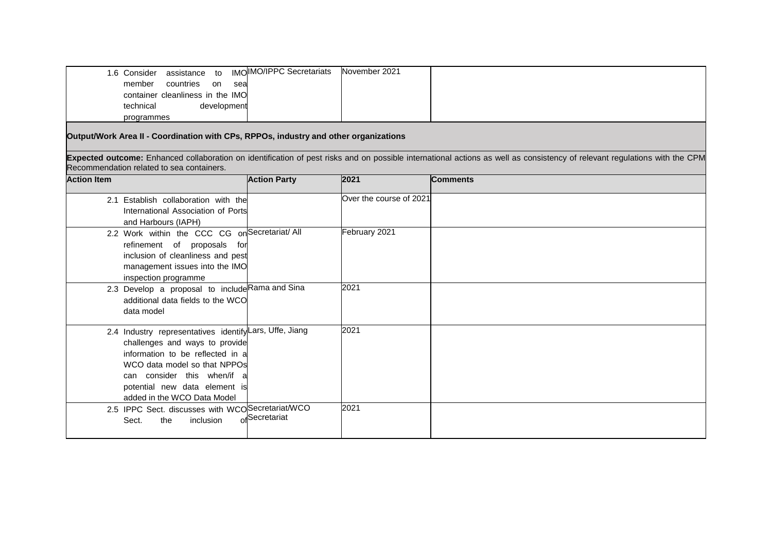| assistance to<br>1.6 Consider    | IMOIMO/IPPC Secretariats | November 2021 |  |
|----------------------------------|--------------------------|---------------|--|
| countries<br>member<br>on<br>sea |                          |               |  |
| container cleanliness in the IMO |                          |               |  |
| technical<br>development         |                          |               |  |
| programmes                       |                          |               |  |

**Output/Work Area II - Coordination with CPs, RPPOs, industry and other organizations**

**Expected outcome:** Enhanced collaboration on identification of pest risks and on possible international actions as well as consistency of relevant regulations with the CPM Recommendation related to sea containers.

| <b>Action Item</b>                                                                                                                                                                                                                                           | <b>Action Party</b> | 2021                    | <b>Comments</b> |
|--------------------------------------------------------------------------------------------------------------------------------------------------------------------------------------------------------------------------------------------------------------|---------------------|-------------------------|-----------------|
| 2.1 Establish collaboration with the<br>International Association of Ports<br>and Harbours (IAPH)                                                                                                                                                            |                     | Over the course of 2021 |                 |
| 2.2 Work within the CCC CG on Secretariat/ All<br>refinement of proposals for<br>inclusion of cleanliness and pest<br>management issues into the IMO<br>inspection programme                                                                                 |                     | February 2021           |                 |
| 2.3 Develop a proposal to include Rama and Sina<br>additional data fields to the WCO<br>data model                                                                                                                                                           |                     | 2021                    |                 |
| 2.4 Industry representatives identify Lars, Uffe, Jiang<br>challenges and ways to provide<br>information to be reflected in a<br>WCO data model so that NPPOs<br>can consider this when/if a<br>potential new data element is<br>added in the WCO Data Model |                     | 2021                    |                 |
| 2.5 IPPC Sect. discusses with WCOSecretariat/WCO<br>inclusion<br>Sect.<br>the                                                                                                                                                                                | ofSecretariat       | 2021                    |                 |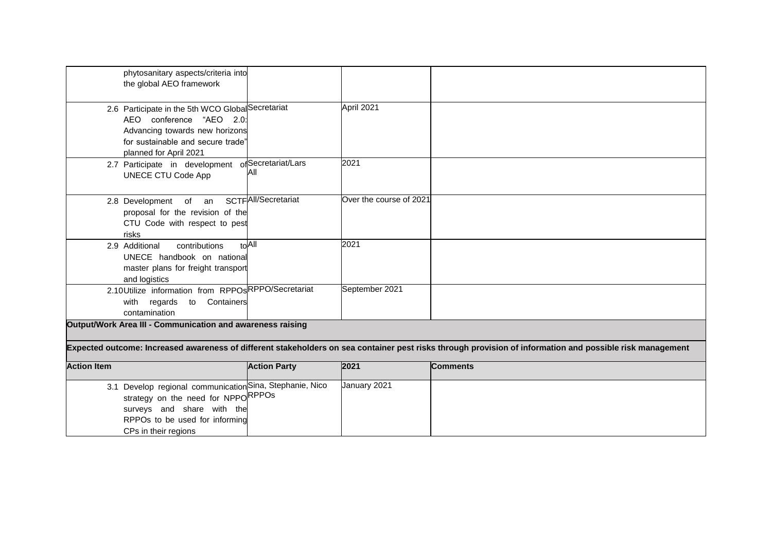| phytosanitary aspects/criteria into<br>the global AEO framework                                                                                                                |                     |                         |                                                                                                                                                           |
|--------------------------------------------------------------------------------------------------------------------------------------------------------------------------------|---------------------|-------------------------|-----------------------------------------------------------------------------------------------------------------------------------------------------------|
|                                                                                                                                                                                |                     |                         |                                                                                                                                                           |
| 2.6 Participate in the 5th WCO Global Secretariat<br>AEO conference "AEO 2.0:<br>Advancing towards new horizons<br>for sustainable and secure trade"<br>planned for April 2021 |                     | April 2021              |                                                                                                                                                           |
| 2.7 Participate in development of Secretariat/Lars<br><b>UNECE CTU Code App</b>                                                                                                | All                 | 2021                    |                                                                                                                                                           |
| 2.8 Development of an<br>proposal for the revision of the<br>CTU Code with respect to pest<br>risks                                                                            | SCTFAII/Secretariat | Over the course of 2021 |                                                                                                                                                           |
| 2.9 Additional<br>contributions<br>UNECE handbook on national<br>master plans for freight transport<br>and logistics                                                           | $H \cap A$          | 2021                    |                                                                                                                                                           |
| 2.10Utilize information from RPPOsRPPO/Secretariat<br>to Containers<br>with regards<br>contamination                                                                           |                     | September 2021          |                                                                                                                                                           |
| Output/Work Area III - Communication and awareness raising                                                                                                                     |                     |                         |                                                                                                                                                           |
|                                                                                                                                                                                |                     |                         | Expected outcome: Increased awareness of different stakeholders on sea container pest risks through provision of information and possible risk management |
| <b>Action Item</b>                                                                                                                                                             | <b>Action Party</b> | 2021                    | <b>Comments</b>                                                                                                                                           |
| 3.1 Develop regional communication Sina, Stephanie, Nico<br>strategy on the need for NPPORPPOs                                                                                 |                     | January 2021            |                                                                                                                                                           |

surveys and share with the RPPOs to be used for informing

CPs in their regions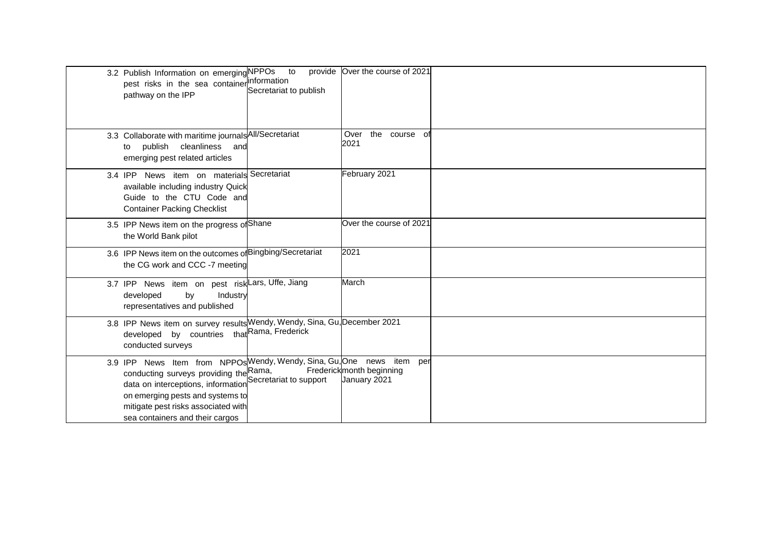| 3.2 Publish Information on emerging NPPOs<br>pest risks in the sea container information<br>pathway on the IPP                                                                                                                                                                              | to<br>Secretariat to publish | provide Over the course of 2021          |  |
|---------------------------------------------------------------------------------------------------------------------------------------------------------------------------------------------------------------------------------------------------------------------------------------------|------------------------------|------------------------------------------|--|
| 3.3 Collaborate with maritime journals All/Secretariat<br>publish cleanliness and<br>to<br>emerging pest related articles                                                                                                                                                                   |                              | Over<br>the<br>course of<br>2021         |  |
| 3.4 IPP News item on materials Secretariat<br>available including industry Quick<br>Guide to the CTU Code and<br><b>Container Packing Checklist</b>                                                                                                                                         |                              | February 2021                            |  |
| 3.5 IPP News item on the progress of Shane<br>the World Bank pilot                                                                                                                                                                                                                          |                              | Over the course of 2021                  |  |
| 3.6 IPP News item on the outcomes of Bingbing/Secretariat<br>the CG work and CCC -7 meeting                                                                                                                                                                                                 |                              | 2021                                     |  |
| 3.7 IPP News item on pest risk Lars, Uffe, Jiang<br>developed<br>by<br>Industry<br>representatives and published                                                                                                                                                                            |                              | March                                    |  |
| 3.8 IPP News item on survey results Wendy, Wendy, Sina, Gu, December 2021<br>developed by countries that Rama, Frederick<br>conducted surveys                                                                                                                                               |                              |                                          |  |
| 3.9 IPP News Item from NPPOs Wendy, Wendy, Sina, Gu, One news item per<br>conducting surveys providing the Rama,<br>data on interceptions, information Secretariat to support<br>on emerging pests and systems to<br>mitigate pest risks associated with<br>sea containers and their cargos |                              | Frederickmonth beginning<br>January 2021 |  |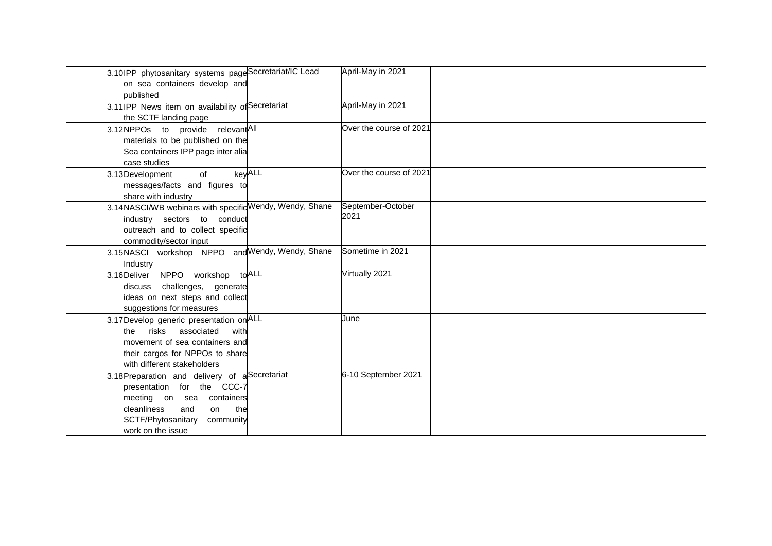| 3.10IPP phytosanitary systems pageSecretariat/IC Lead<br>on sea containers develop and<br>published | April-May in 2021       |  |
|-----------------------------------------------------------------------------------------------------|-------------------------|--|
| 3.11IPP News item on availability of Secretariat                                                    | April-May in 2021       |  |
| the SCTF landing page                                                                               |                         |  |
| 3.12NPPOs to provide relevantAll                                                                    | Over the course of 2021 |  |
| materials to be published on the                                                                    |                         |  |
| Sea containers IPP page inter alia                                                                  |                         |  |
| case studies                                                                                        |                         |  |
| keyALL<br>3.13Development<br>of                                                                     | Over the course of 2021 |  |
| messages/facts and figures to                                                                       |                         |  |
| share with industry                                                                                 |                         |  |
| 3.14NASCI/WB webinars with specific Wendy, Wendy, Shane                                             | September-October       |  |
| industry sectors to conduct                                                                         | 2021                    |  |
| outreach and to collect specific                                                                    |                         |  |
| commodity/sector input                                                                              |                         |  |
| 3.15NASCI workshop NPPO and Wendy, Wendy, Shane                                                     | Sometime in 2021        |  |
| Industry                                                                                            |                         |  |
| 3.16Deliver NPPO workshop to ALL                                                                    | Virtually 2021          |  |
| discuss challenges, generate                                                                        |                         |  |
| ideas on next steps and collect                                                                     |                         |  |
| suggestions for measures                                                                            |                         |  |
| 3.17 Develop generic presentation on ALL                                                            | June                    |  |
| associated<br>risks<br>the<br>with                                                                  |                         |  |
| movement of sea containers and                                                                      |                         |  |
| their cargos for NPPOs to share                                                                     |                         |  |
| with different stakeholders                                                                         |                         |  |
| 3.18Preparation and delivery of aSecretariat                                                        | 6-10 September 2021     |  |
| presentation for the CCC-7                                                                          |                         |  |
| meeting on sea containers                                                                           |                         |  |
| cleanliness<br>and<br>the<br>on                                                                     |                         |  |
| SCTF/Phytosanitary<br>community                                                                     |                         |  |
| work on the issue                                                                                   |                         |  |